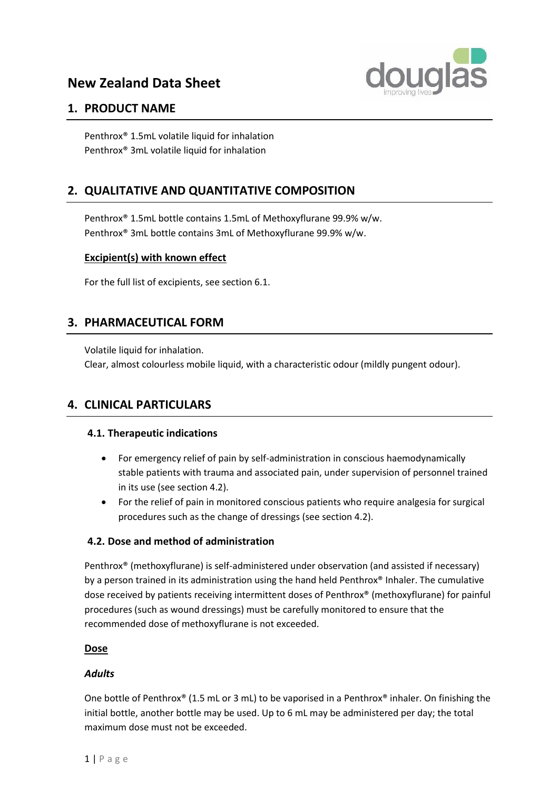

# **1. PRODUCT NAME**

Penthrox® 1.5mL volatile liquid for inhalation Penthrox® 3mL volatile liquid for inhalation

# **2. QUALITATIVE AND QUANTITATIVE COMPOSITION**

Penthrox® 1.5mL bottle contains 1.5mL of Methoxyflurane 99.9% w/w. Penthrox® 3mL bottle contains 3mL of Methoxyflurane 99.9% w/w.

# **Excipient(s) with known effect**

For the full list of excipients, see section 6.1.

# **3. PHARMACEUTICAL FORM**

Volatile liquid for inhalation. Clear, almost colourless mobile liquid, with a characteristic odour (mildly pungent odour).

# **4. CLINICAL PARTICULARS**

## **4.1. Therapeutic indications**

- For emergency relief of pain by self-administration in conscious haemodynamically stable patients with trauma and associated pain, under supervision of personnel trained in its use (see section 4.2).
- For the relief of pain in monitored conscious patients who require analgesia for surgical procedures such as the change of dressings (see section 4.2).

# **4.2. Dose and method of administration**

Penthrox® (methoxyflurane) is self-administered under observation (and assisted if necessary) by a person trained in its administration using the hand held Penthrox® Inhaler. The cumulative dose received by patients receiving intermittent doses of Penthrox® (methoxyflurane) for painful procedures (such as wound dressings) must be carefully monitored to ensure that the recommended dose of methoxyflurane is not exceeded.

## **Dose**

## *Adults*

One bottle of Penthrox® (1.5 mL or 3 mL) to be vaporised in a Penthrox® inhaler. On finishing the initial bottle, another bottle may be used. Up to 6 mL may be administered per day; the total maximum dose must not be exceeded.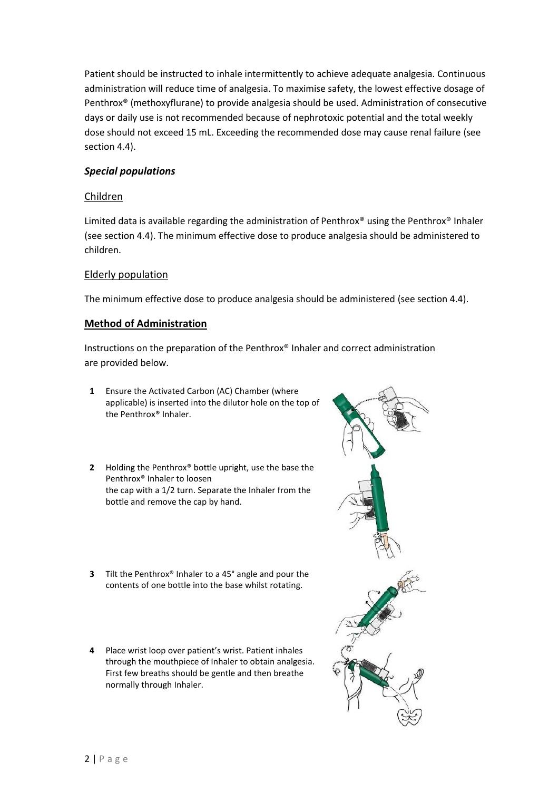Patient should be instructed to inhale intermittently to achieve adequate analgesia. Continuous administration will reduce time of analgesia. To maximise safety, the lowest effective dosage of Penthrox® (methoxyflurane) to provide analgesia should be used. Administration of consecutive days or daily use is not recommended because of nephrotoxic potential and the total weekly dose should not exceed 15 mL. Exceeding the recommended dose may cause renal failure (see section 4.4).

## *Special populations*

#### Children

Limited data is available regarding the administration of Penthrox® using the Penthrox® Inhaler (see section 4.4). The minimum effective dose to produce analgesia should be administered to children.

#### Elderly population

The minimum effective dose to produce analgesia should be administered (see section 4.4).

#### **Method of Administration**

Instructions on the preparation of the Penthrox® Inhaler and correct administration are provided below.

- **1** Ensure the Activated Carbon (AC) Chamber (where applicable) is inserted into the dilutor hole on the top of the Penthrox® Inhaler.
- **2** Holding the Penthrox® bottle upright, use the base the Penthrox® Inhaler to loosen the cap with a 1/2 turn. Separate the Inhaler from the bottle and remove the cap by hand.
- **3** Tilt the Penthrox® Inhaler to a 45° angle and pour the contents of one bottle into the base whilst rotating.
- **4** Place wrist loop over patient's wrist. Patient inhales through the mouthpiece of Inhaler to obtain analgesia. First few breaths should be gentle and then breathe normally through Inhaler.

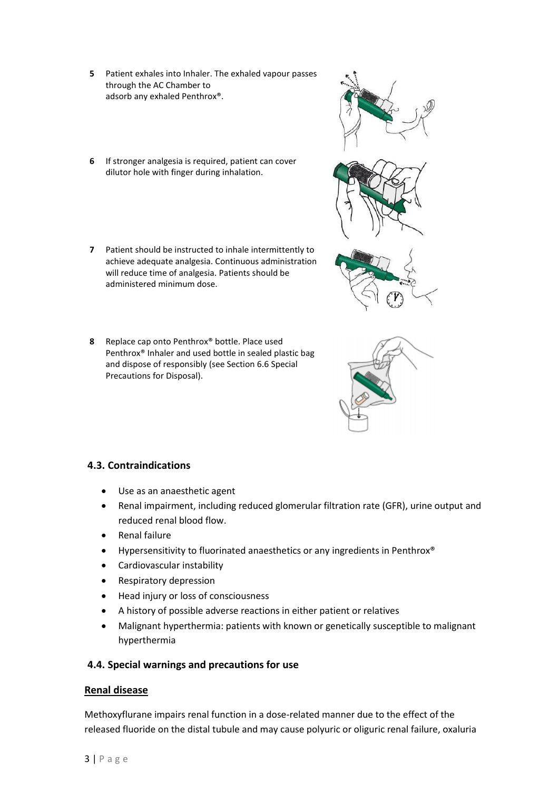- **5** Patient exhales into Inhaler. The exhaled vapour passes through the AC Chamber to adsorb any exhaled Penthrox®.
- **6** If stronger analgesia is required, patient can cover dilutor hole with finger during inhalation.
- **7** Patient should be instructed to inhale intermittently to achieve adequate analgesia. Continuous administration will reduce time of analgesia. Patients should be administered minimum dose.
- **8** Replace cap onto Penthrox® bottle. Place used Penthrox® Inhaler and used bottle in sealed plastic bag and dispose of responsibly (see Section 6.6 Special Precautions for Disposal).



- Use as an anaesthetic agent
- Renal impairment, including reduced glomerular filtration rate (GFR), urine output and reduced renal blood flow.
- Renal failure
- Hypersensitivity to fluorinated anaesthetics or any ingredients in Penthrox®
- Cardiovascular instability
- Respiratory depression
- Head injury or loss of consciousness
- A history of possible adverse reactions in either patient or relatives
- Malignant hyperthermia: patients with known or genetically susceptible to malignant hyperthermia

#### **4.4. Special warnings and precautions for use**

#### **Renal disease**

Methoxyflurane impairs renal function in a dose-related manner due to the effect of the released fluoride on the distal tubule and may cause polyuric or oliguric renal failure, oxaluria



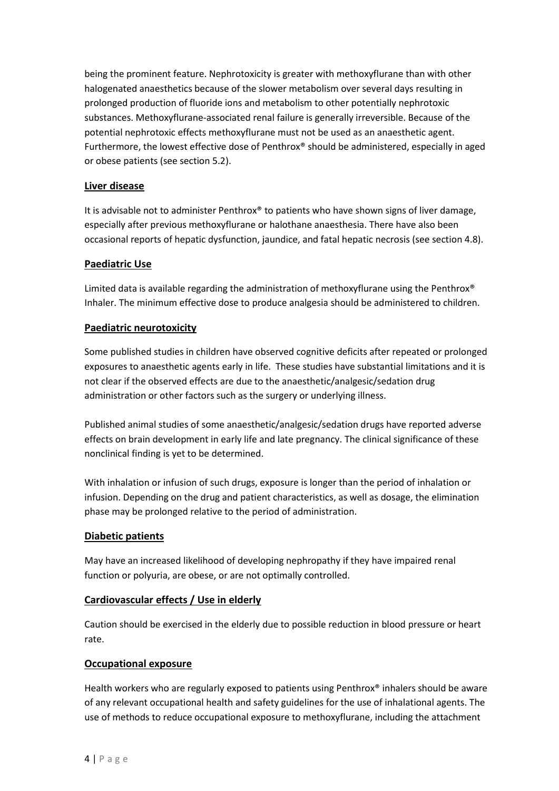being the prominent feature. Nephrotoxicity is greater with methoxyflurane than with other halogenated anaesthetics because of the slower metabolism over several days resulting in prolonged production of fluoride ions and metabolism to other potentially nephrotoxic substances. Methoxyflurane-associated renal failure is generally irreversible. Because of the potential nephrotoxic effects methoxyflurane must not be used as an anaesthetic agent. Furthermore, the lowest effective dose of Penthrox® should be administered, especially in aged or obese patients (see section 5.2).

## **Liver disease**

It is advisable not to administer Penthrox® to patients who have shown signs of liver damage, especially after previous methoxyflurane or halothane anaesthesia. There have also been occasional reports of hepatic dysfunction, jaundice, and fatal hepatic necrosis (see section 4.8).

## **Paediatric Use**

Limited data is available regarding the administration of methoxyflurane using the Penthrox® Inhaler. The minimum effective dose to produce analgesia should be administered to children.

## **Paediatric neurotoxicity**

Some published studies in children have observed cognitive deficits after repeated or prolonged exposures to anaesthetic agents early in life. These studies have substantial limitations and it is not clear if the observed effects are due to the anaesthetic/analgesic/sedation drug administration or other factors such as the surgery or underlying illness.

Published animal studies of some anaesthetic/analgesic/sedation drugs have reported adverse effects on brain development in early life and late pregnancy. The clinical significance of these nonclinical finding is yet to be determined.

With inhalation or infusion of such drugs, exposure is longer than the period of inhalation or infusion. Depending on the drug and patient characteristics, as well as dosage, the elimination phase may be prolonged relative to the period of administration.

## **Diabetic patients**

May have an increased likelihood of developing nephropathy if they have impaired renal function or polyuria, are obese, or are not optimally controlled.

## **Cardiovascular effects / Use in elderly**

Caution should be exercised in the elderly due to possible reduction in blood pressure or heart rate.

## **Occupational exposure**

Health workers who are regularly exposed to patients using Penthrox® inhalers should be aware of any relevant occupational health and safety guidelines for the use of inhalational agents. The use of methods to reduce occupational exposure to methoxyflurane, including the attachment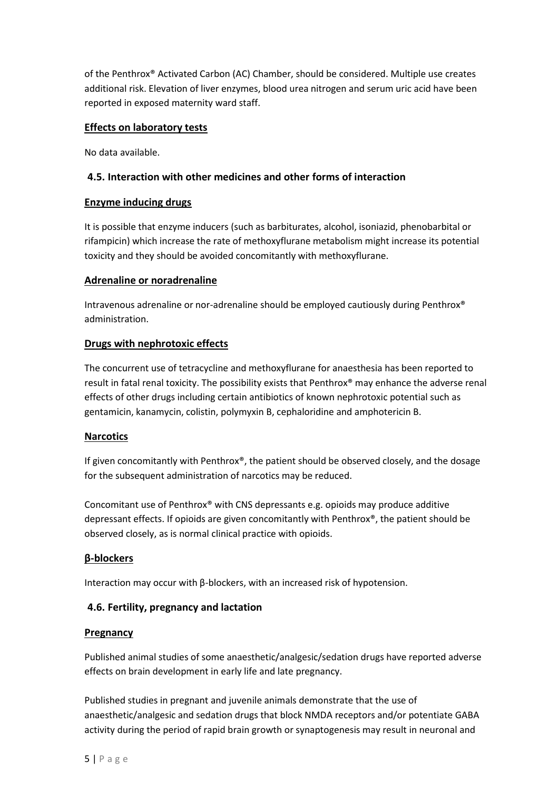of the Penthrox® Activated Carbon (AC) Chamber, should be considered. Multiple use creates additional risk. Elevation of liver enzymes, blood urea nitrogen and serum uric acid have been reported in exposed maternity ward staff.

## **Effects on laboratory tests**

No data available.

## **4.5. Interaction with other medicines and other forms of interaction**

## **Enzyme inducing drugs**

It is possible that enzyme inducers (such as barbiturates, alcohol, isoniazid, phenobarbital or rifampicin) which increase the rate of methoxyflurane metabolism might increase its potential toxicity and they should be avoided concomitantly with methoxyflurane.

## **Adrenaline or noradrenaline**

Intravenous adrenaline or nor-adrenaline should be employed cautiously during Penthrox® administration.

## **Drugs with nephrotoxic effects**

The concurrent use of tetracycline and methoxyflurane for anaesthesia has been reported to result in fatal renal toxicity. The possibility exists that Penthrox® may enhance the adverse renal effects of other drugs including certain antibiotics of known nephrotoxic potential such as gentamicin, kanamycin, colistin, polymyxin B, cephaloridine and amphotericin B.

## **Narcotics**

If given concomitantly with Penthrox®, the patient should be observed closely, and the dosage for the subsequent administration of narcotics may be reduced.

Concomitant use of Penthrox® with CNS depressants e.g. opioids may produce additive depressant effects. If opioids are given concomitantly with Penthrox®, the patient should be observed closely, as is normal clinical practice with opioids.

# **β-blockers**

Interaction may occur with β-blockers, with an increased risk of hypotension.

# **4.6. Fertility, pregnancy and lactation**

## **Pregnancy**

Published animal studies of some anaesthetic/analgesic/sedation drugs have reported adverse effects on brain development in early life and late pregnancy.

Published studies in pregnant and juvenile animals demonstrate that the use of anaesthetic/analgesic and sedation drugs that block NMDA receptors and/or potentiate GABA activity during the period of rapid brain growth or synaptogenesis may result in neuronal and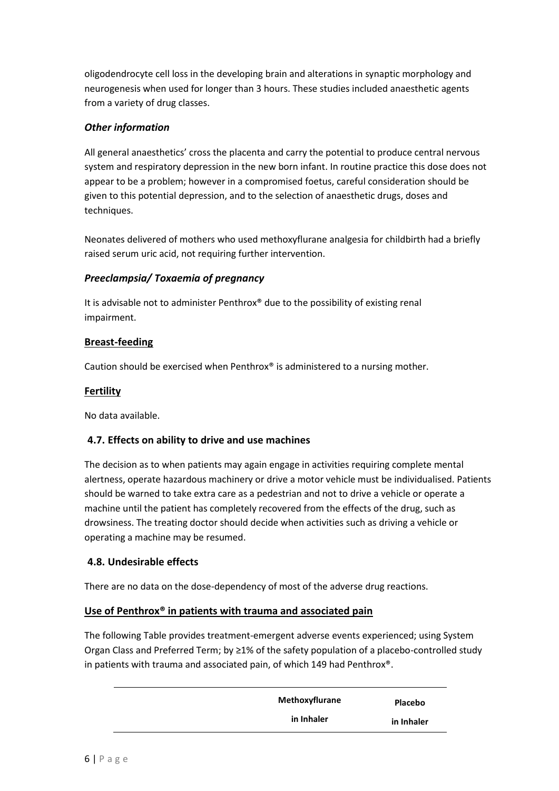oligodendrocyte cell loss in the developing brain and alterations in synaptic morphology and neurogenesis when used for longer than 3 hours. These studies included anaesthetic agents from a variety of drug classes.

## *Other information*

All general anaesthetics' cross the placenta and carry the potential to produce central nervous system and respiratory depression in the new born infant. In routine practice this dose does not appear to be a problem; however in a compromised foetus, careful consideration should be given to this potential depression, and to the selection of anaesthetic drugs, doses and techniques.

Neonates delivered of mothers who used methoxyflurane analgesia for childbirth had a briefly raised serum uric acid, not requiring further intervention.

## *Preeclampsia/ Toxaemia of pregnancy*

It is advisable not to administer Penthrox® due to the possibility of existing renal impairment.

## **Breast-feeding**

Caution should be exercised when Penthrox® is administered to a nursing mother.

#### **Fertility**

No data available.

## **4.7. Effects on ability to drive and use machines**

The decision as to when patients may again engage in activities requiring complete mental alertness, operate hazardous machinery or drive a motor vehicle must be individualised. Patients should be warned to take extra care as a pedestrian and not to drive a vehicle or operate a machine until the patient has completely recovered from the effects of the drug, such as drowsiness. The treating doctor should decide when activities such as driving a vehicle or operating a machine may be resumed.

## **4.8. Undesirable effects**

There are no data on the dose-dependency of most of the adverse drug reactions.

## **Use of Penthrox® in patients with trauma and associated pain**

The following Table provides treatment-emergent adverse events experienced; using System Organ Class and Preferred Term; by ≥1% of the safety population of a placebo-controlled study in patients with trauma and associated pain, of which 149 had Penthrox®.

| Methoxyflurane | Placebo    |
|----------------|------------|
| in Inhaler     | in Inhaler |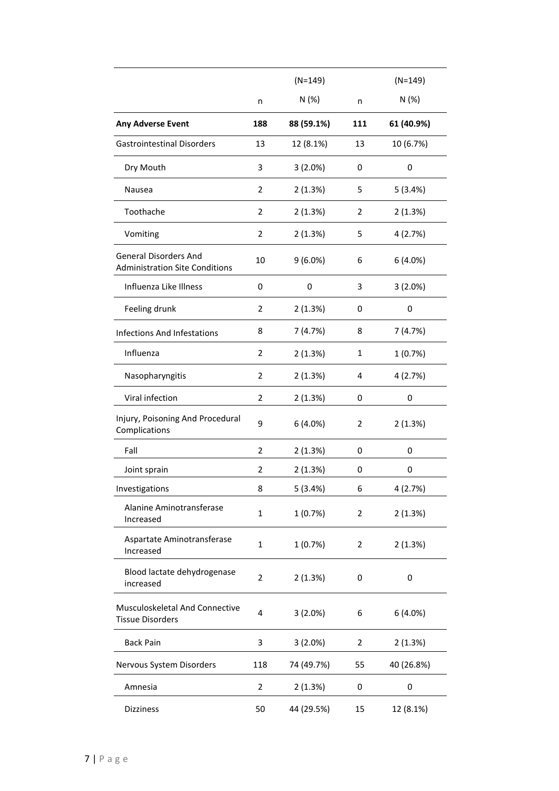|                                                                       |                | $(N=149)$  |     | $(N=149)$  |
|-----------------------------------------------------------------------|----------------|------------|-----|------------|
|                                                                       | n              | N (%)      | n   | N (%)      |
| <b>Any Adverse Event</b>                                              | 188            | 88 (59.1%) | 111 | 61 (40.9%) |
| <b>Gastrointestinal Disorders</b>                                     | 13             | 12 (8.1%)  | 13  | 10 (6.7%)  |
| Dry Mouth                                                             | 3              | 3(2.0%)    | 0   | 0          |
| Nausea                                                                | 2              | 2(1.3%)    | 5   | 5(3.4%)    |
| Toothache                                                             | 2              | 2(1.3%)    | 2   | 2(1.3%)    |
| Vomiting                                                              | 2              | 2(1.3%)    | 5   | 4 (2.7%)   |
| <b>General Disorders And</b><br><b>Administration Site Conditions</b> | 10             | $9(6.0\%)$ | 6   | 6(4.0%)    |
| Influenza Like Illness                                                | 0              | 0          | 3   | 3(2.0%)    |
| Feeling drunk                                                         | 2              | 2(1.3%)    | 0   | 0          |
| <b>Infections And Infestations</b>                                    | 8              | 7(4.7%)    | 8   | 7(4.7%)    |
| Influenza                                                             | $\overline{2}$ | 2(1.3%)    | 1   | 1(0.7%)    |
| Nasopharyngitis                                                       | $\overline{2}$ | 2(1.3%)    | 4   | 4 (2.7%)   |
| Viral infection                                                       | $\overline{2}$ | 2(1.3%)    | 0   | 0          |
| Injury, Poisoning And Procedural<br>Complications                     | 9              | 6(4.0%)    | 2   | 2(1.3%)    |
| Fall                                                                  | $\overline{2}$ | 2(1.3%)    | 0   | 0          |
| Joint sprain                                                          | 2              | 2(1.3%)    | 0   | 0          |
| Investigations                                                        | 8              | 5(3.4%)    | 6   | 4 (2.7%)   |
| Alanine Aminotransferase<br>Increased                                 | $\mathbf{1}$   | 1(0.7%)    | 2   | 2(1.3%)    |
| Aspartate Aminotransferase<br>Increased                               | 1              | 1(0.7%)    | 2   | 2(1.3%)    |
| Blood lactate dehydrogenase<br>increased                              | $\overline{2}$ | 2(1.3%)    | 0   | 0          |
| Musculoskeletal And Connective<br><b>Tissue Disorders</b>             | $\overline{4}$ | 3(2.0%)    | 6   | 6(4.0%)    |
| <b>Back Pain</b>                                                      | 3              | $3(2.0\%)$ | 2   | 2(1.3%)    |
| Nervous System Disorders                                              | 118            | 74 (49.7%) | 55  | 40 (26.8%) |
| Amnesia                                                               | 2              | 2(1.3%)    | 0   | 0          |
| Dizziness                                                             | 50             | 44 (29.5%) | 15  | 12 (8.1%)  |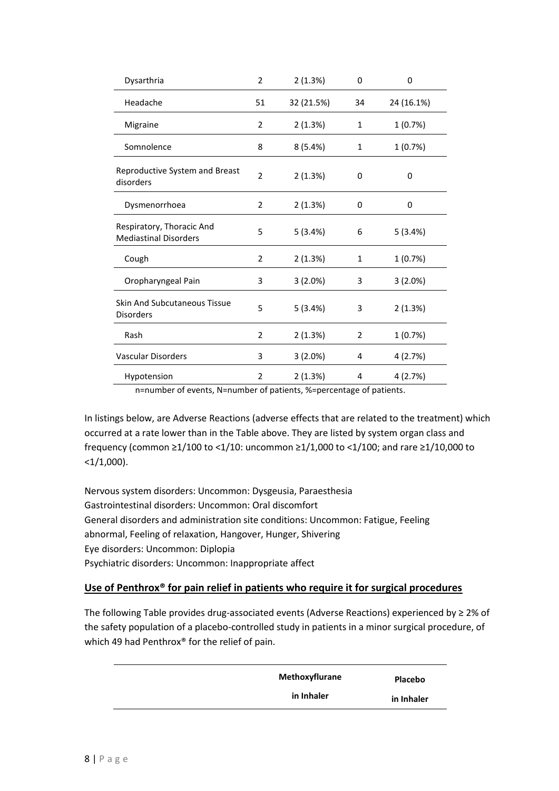| Dysarthria                                                | 2              | 2(1.3%)    | 0            | 0          |
|-----------------------------------------------------------|----------------|------------|--------------|------------|
| Headache                                                  | 51             | 32 (21.5%) | 34           | 24 (16.1%) |
| Migraine                                                  | 2              | 2(1.3%)    | $\mathbf{1}$ | 1(0.7%)    |
| Somnolence                                                | 8              | 8(5.4%)    | 1            | 1(0.7%)    |
| Reproductive System and Breast<br>disorders               | $\overline{2}$ | 2(1.3%)    | 0            | 0          |
| Dysmenorrhoea                                             | 2              | 2(1.3%)    | 0            | 0          |
| Respiratory, Thoracic And<br><b>Mediastinal Disorders</b> | 5              | 5(3.4%)    | 6            | 5(3.4%)    |
| Cough                                                     | $\overline{2}$ | 2(1.3%)    | $\mathbf{1}$ | 1(0.7%)    |
| Oropharyngeal Pain                                        | 3              | $3(2.0\%)$ | 3            | $3(2.0\%)$ |
| <b>Skin And Subcutaneous Tissue</b><br><b>Disorders</b>   | 5              | 5(3.4%)    | 3            | 2(1.3%)    |
| Rash                                                      | 2              | 2(1.3%)    | 2            | 1(0.7%)    |
| <b>Vascular Disorders</b>                                 | 3              | $3(2.0\%)$ | 4            | 4 (2.7%)   |
| Hypotension                                               | $\overline{2}$ | 2(1.3%)    | 4            | 4 (2.7%)   |

n=number of events, N=number of patients, %=percentage of patients.

In listings below, are Adverse Reactions (adverse effects that are related to the treatment) which occurred at a rate lower than in the Table above. They are listed by system organ class and frequency (common ≥1/100 to <1/10: uncommon ≥1/1,000 to <1/100; and rare ≥1/10,000 to  $<1/1,000$ ).

Nervous system disorders: Uncommon: Dysgeusia, Paraesthesia Gastrointestinal disorders: Uncommon: Oral discomfort General disorders and administration site conditions: Uncommon: Fatigue, Feeling abnormal, Feeling of relaxation, Hangover, Hunger, Shivering Eye disorders: Uncommon: Diplopia Psychiatric disorders: Uncommon: Inappropriate affect

## **Use of Penthrox® for pain relief in patients who require it for surgical procedures**

The following Table provides drug-associated events (Adverse Reactions) experienced by ≥ 2% of the safety population of a placebo-controlled study in patients in a minor surgical procedure, of which 49 had Penthrox® for the relief of pain.

| Methoxyflurane | Placebo    |
|----------------|------------|
| in Inhaler     | in Inhaler |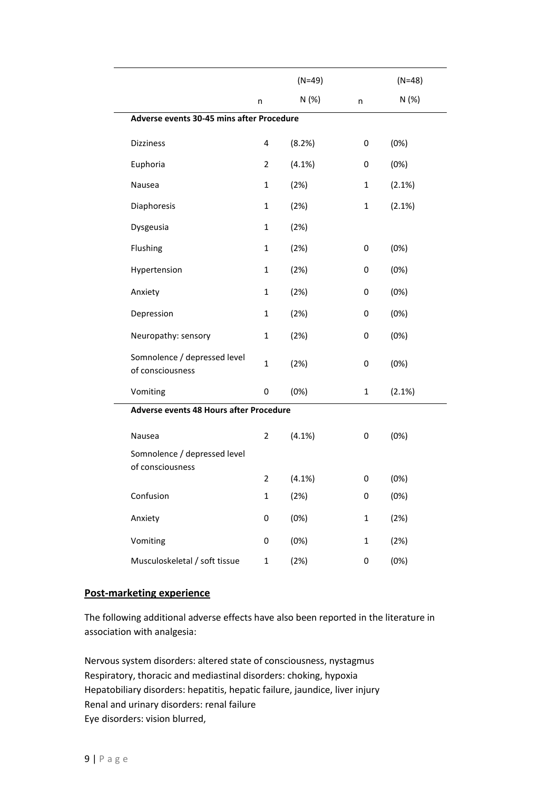|                                                  |                | $(N=49)$ |              | $(N=48)$ |
|--------------------------------------------------|----------------|----------|--------------|----------|
|                                                  | n              | N (%)    | n            | N (%)    |
| Adverse events 30-45 mins after Procedure        |                |          |              |          |
| <b>Dizziness</b>                                 | 4              | (8.2%)   | 0            | (0%)     |
| Euphoria                                         | $\overline{2}$ | (4.1%)   | 0            | (0%)     |
| Nausea                                           | 1              | (2%)     | 1            | (2.1%)   |
| Diaphoresis                                      | 1              | (2%)     | 1            | (2.1%)   |
| Dysgeusia                                        | $\mathbf{1}$   | (2%)     |              |          |
| Flushing                                         | $\mathbf{1}$   | (2%)     | 0            | (0%)     |
| Hypertension                                     | 1              | (2%)     | 0            | (0%)     |
| Anxiety                                          | 1              | (2%)     | 0            | (0%)     |
| Depression                                       | 1              | (2%)     | 0            | (0%)     |
| Neuropathy: sensory                              | 1              | (2%)     | 0            | (0%)     |
| Somnolence / depressed level<br>of consciousness | $\mathbf{1}$   | (2%)     | 0            | (0%)     |
| Vomiting                                         | 0              | (0%)     | 1            | (2.1%)   |
| Adverse events 48 Hours after Procedure          |                |          |              |          |
| Nausea                                           | $\overline{2}$ | (4.1%)   | 0            | (0%)     |
| Somnolence / depressed level<br>of consciousness |                |          |              |          |
|                                                  | $\overline{2}$ | (4.1%)   | 0            | (0%)     |
| Confusion                                        | $\mathbf 1$    | (2%)     | 0            | (0%)     |
| Anxiety                                          | 0              | (0%)     | $\mathbf{1}$ | (2%)     |
| Vomiting                                         | 0              | (0%)     | $\mathbf 1$  | (2%)     |
| Musculoskeletal / soft tissue                    | $\mathbf{1}$   | (2%)     | 0            | (0%)     |

#### **Post-marketing experience**

The following additional adverse effects have also been reported in the literature in association with analgesia:

Nervous system disorders: altered state of consciousness, nystagmus Respiratory, thoracic and mediastinal disorders: choking, hypoxia Hepatobiliary disorders: hepatitis, hepatic failure, jaundice, liver injury Renal and urinary disorders: renal failure Eye disorders: vision blurred,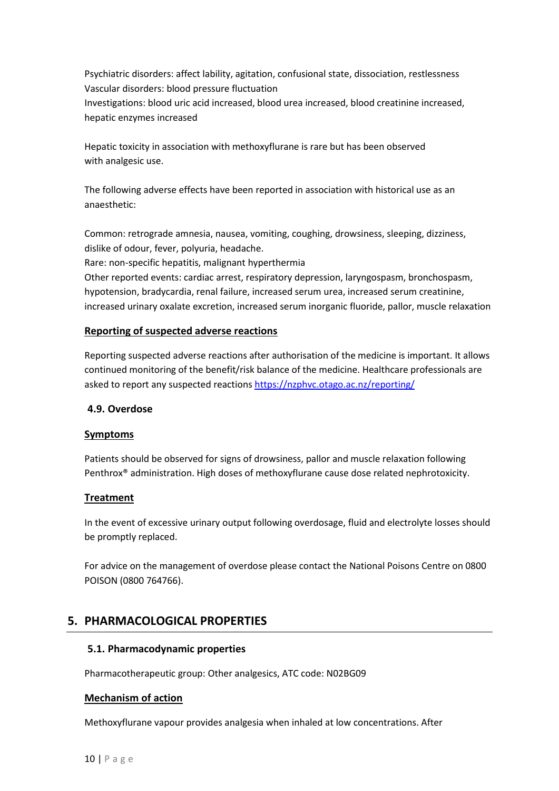Psychiatric disorders: affect lability, agitation, confusional state, dissociation, restlessness Vascular disorders: blood pressure fluctuation Investigations: blood uric acid increased, blood urea increased, blood creatinine increased, hepatic enzymes increased

Hepatic toxicity in association with methoxyflurane is rare but has been observed with analgesic use.

The following adverse effects have been reported in association with historical use as an anaesthetic:

Common: retrograde amnesia, nausea, vomiting, coughing, drowsiness, sleeping, dizziness, dislike of odour, fever, polyuria, headache.

Rare: non-specific hepatitis, malignant hyperthermia

Other reported events: cardiac arrest, respiratory depression, laryngospasm, bronchospasm, hypotension, bradycardia, renal failure, increased serum urea, increased serum creatinine, increased urinary oxalate excretion, increased serum inorganic fluoride, pallor, muscle relaxation

## **Reporting of suspected adverse reactions**

Reporting suspected adverse reactions after authorisation of the medicine is important. It allows continued monitoring of the benefit/risk balance of the medicine. Healthcare professionals are asked to report any suspected reactions<https://nzphvc.otago.ac.nz/reporting/>

## **4.9. Overdose**

## **Symptoms**

Patients should be observed for signs of drowsiness, pallor and muscle relaxation following Penthrox® administration. High doses of methoxyflurane cause dose related nephrotoxicity.

## **Treatment**

In the event of excessive urinary output following overdosage, fluid and electrolyte losses should be promptly replaced.

For advice on the management of overdose please contact the National Poisons Centre on 0800 POISON (0800 764766).

# **5. PHARMACOLOGICAL PROPERTIES**

## **5.1. Pharmacodynamic properties**

Pharmacotherapeutic group: Other analgesics, ATC code: N02BG09

## **Mechanism of action**

Methoxyflurane vapour provides analgesia when inhaled at low concentrations. After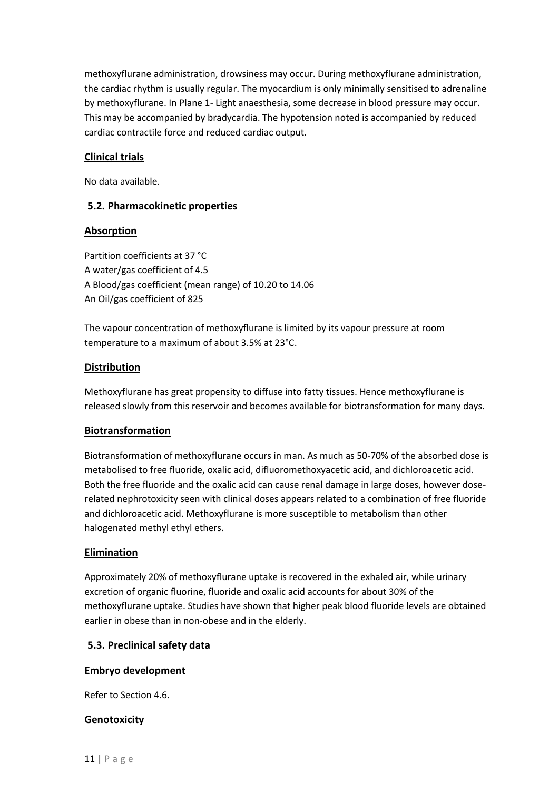methoxyflurane administration, drowsiness may occur. During methoxyflurane administration, the cardiac rhythm is usually regular. The myocardium is only minimally sensitised to adrenaline by methoxyflurane. In Plane 1- Light anaesthesia, some decrease in blood pressure may occur. This may be accompanied by bradycardia. The hypotension noted is accompanied by reduced cardiac contractile force and reduced cardiac output.

## **Clinical trials**

No data available.

## **5.2. Pharmacokinetic properties**

## **Absorption**

Partition coefficients at 37 °C A water/gas coefficient of 4.5 A Blood/gas coefficient (mean range) of 10.20 to 14.06 An Oil/gas coefficient of 825

The vapour concentration of methoxyflurane is limited by its vapour pressure at room temperature to a maximum of about 3.5% at 23°C.

## **Distribution**

Methoxyflurane has great propensity to diffuse into fatty tissues. Hence methoxyflurane is released slowly from this reservoir and becomes available for biotransformation for many days.

# **Biotransformation**

Biotransformation of methoxyflurane occurs in man. As much as 50-70% of the absorbed dose is metabolised to free fluoride, oxalic acid, difluoromethoxyacetic acid, and dichloroacetic acid. Both the free fluoride and the oxalic acid can cause renal damage in large doses, however doserelated nephrotoxicity seen with clinical doses appears related to a combination of free fluoride and dichloroacetic acid. Methoxyflurane is more susceptible to metabolism than other halogenated methyl ethyl ethers.

## **Elimination**

Approximately 20% of methoxyflurane uptake is recovered in the exhaled air, while urinary excretion of organic fluorine, fluoride and oxalic acid accounts for about 30% of the methoxyflurane uptake. Studies have shown that higher peak blood fluoride levels are obtained earlier in obese than in non-obese and in the elderly.

## **5.3. Preclinical safety data**

## **Embryo development**

Refer to Section 4.6.

## **Genotoxicity**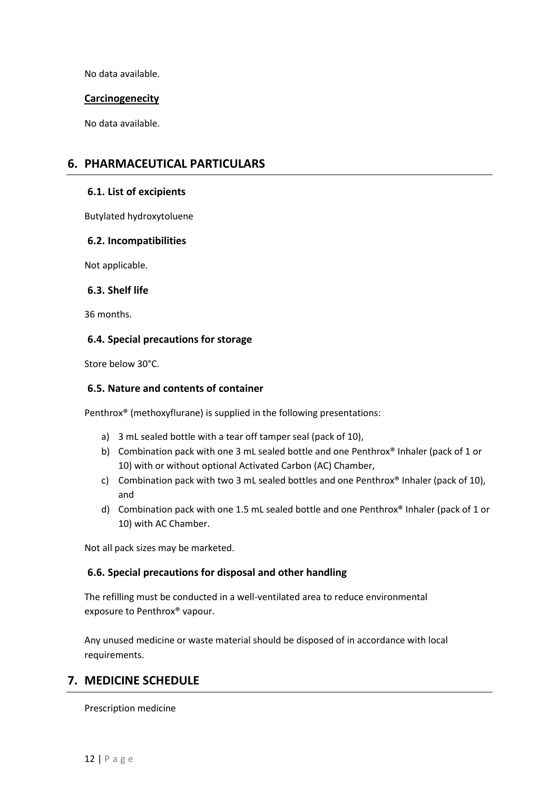No data available.

#### **Carcinogenecity**

No data available.

# **6. PHARMACEUTICAL PARTICULARS**

#### **6.1. List of excipients**

Butylated hydroxytoluene

#### **6.2. Incompatibilities**

Not applicable.

#### **6.3. Shelf life**

36 months.

#### **6.4. Special precautions for storage**

Store below 30°C.

#### **6.5. Nature and contents of container**

Penthrox® (methoxyflurane) is supplied in the following presentations:

- a) 3 mL sealed bottle with a tear off tamper seal (pack of 10),
- b) Combination pack with one 3 mL sealed bottle and one Penthrox® Inhaler (pack of 1 or 10) with or without optional Activated Carbon (AC) Chamber,
- c) Combination pack with two 3 mL sealed bottles and one Penthrox® Inhaler (pack of 10), and
- d) Combination pack with one 1.5 mL sealed bottle and one Penthrox® Inhaler (pack of 1 or 10) with AC Chamber.

Not all pack sizes may be marketed.

## **6.6. Special precautions for disposal and other handling**

The refilling must be conducted in a well-ventilated area to reduce environmental exposure to Penthrox® vapour.

Any unused medicine or waste material should be disposed of in accordance with local requirements.

# **7. MEDICINE SCHEDULE**

Prescription medicine